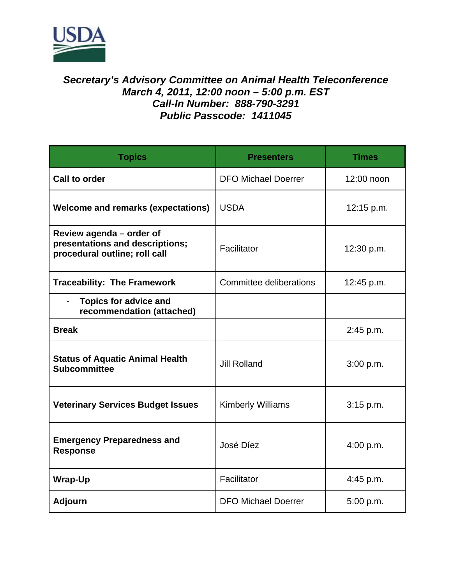

## *Secretary's Advisory Committee on Animal Health Teleconference March 4, 2011, 12:00 noon – 5:00 p.m. EST Call-In Number: 888-790-3291 Public Passcode: 1411045*

| <b>Topics</b>                                                                                | <b>Presenters</b>          | <b>Times</b> |
|----------------------------------------------------------------------------------------------|----------------------------|--------------|
| <b>Call to order</b>                                                                         | <b>DFO Michael Doerrer</b> | 12:00 noon   |
| <b>Welcome and remarks (expectations)</b>                                                    | <b>USDA</b>                | 12:15 p.m.   |
| Review agenda - order of<br>presentations and descriptions;<br>procedural outline; roll call | Facilitator                | 12:30 p.m.   |
| <b>Traceability: The Framework</b>                                                           | Committee deliberations    | 12:45 p.m.   |
| <b>Topics for advice and</b><br>recommendation (attached)                                    |                            |              |
| <b>Break</b>                                                                                 |                            | 2:45 p.m.    |
| <b>Status of Aquatic Animal Health</b><br><b>Subcommittee</b>                                | <b>Jill Rolland</b>        | 3:00 p.m.    |
| <b>Veterinary Services Budget Issues</b>                                                     | <b>Kimberly Williams</b>   | 3:15 p.m.    |
| <b>Emergency Preparedness and</b><br><b>Response</b>                                         | José Díez                  | 4:00 p.m.    |
| <b>Wrap-Up</b>                                                                               | Facilitator                | 4:45 p.m.    |
| <b>Adjourn</b>                                                                               | <b>DFO Michael Doerrer</b> | 5:00 p.m.    |